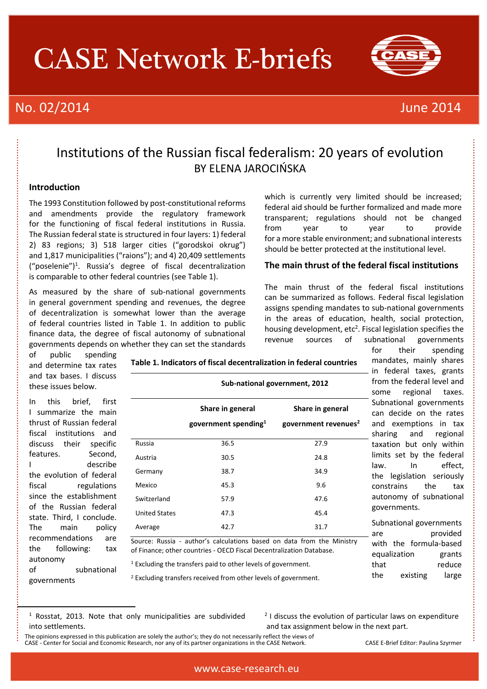# CASE Network E-briefs

# No. 02/2014 June 2014



### Institutions of the Russian fiscal federalism: 20 years of evolution BY ELENA JAROCIŃSKA

### **Introduction**

The 1993 Constitution followed by post-constitutional reforms and amendments provide the regulatory framework for the functioning of fiscal federal institutions in Russia. The Russian federal state is structured in four layers: 1) federal 2) 83 regions; 3) 518 larger cities ("gorodskoi okrug") and 1,817 municipalities ("raions"); and 4) 20,409 settlements ("poselenie")<sup>1</sup> . Russia's degree of fiscal decentralization is comparable to other federal countries (see Table 1).

As measured by the share of sub-national governments in general government spending and revenues, the degree of decentralization is somewhat lower than the average of federal countries listed in Table 1. In addition to public finance data, the degree of fiscal autonomy of subnational governments depends on whether they can set the standards which is currently very limited should be increased; federal aid should be further formalized and made more transparent; regulations should not be changed from year to year to provide for a more stable environment; and subnational interests should be better protected at the institutional level.

### **The main thrust of the federal fiscal institutions**

The main thrust of the federal fiscal institutions can be summarized as follows. Federal fiscal legislation assigns spending mandates to sub-national governments in the areas of education, health, social protection, housing development,  $etc<sup>2</sup>$ . Fiscal legislation specifies the revenue sources of subnational governments for their spending

of public spending and determine tax rates and tax bases. I discuss these issues below.

In this brief, first I summarize the main thrust of Russian federal fiscal institutions and discuss their specific features. Second, I describe the evolution of federal fiscal regulations since the establishment of the Russian federal state. Third, I conclude. The main policy recommendations are the following: tax autonomy of subnational governments

 $\mathbf{r}$ 

|                      | Sub-national government, 2012                        |                                                      |  |
|----------------------|------------------------------------------------------|------------------------------------------------------|--|
|                      | Share in general<br>government spending <sup>1</sup> | Share in general<br>government revenues <sup>2</sup> |  |
| Russia               | 36.5                                                 | 27.9                                                 |  |
| Austria              | 30.5                                                 | 24.8                                                 |  |
| Germany              | 38.7                                                 | 34.9                                                 |  |
| Mexico               | 45.3                                                 | 9.6                                                  |  |
| Switzerland          | 57.9                                                 | 47.6                                                 |  |
| <b>United States</b> | 47.3                                                 | 45.4                                                 |  |
| Average              | 42.7                                                 | 31.7                                                 |  |

**Table 1. Indicators of fiscal decentralization in federal countries**

Source: Russia - author's calculations based on data from the Ministry of Finance; other countries - OECD Fiscal Decentralization Database.

<sup>1</sup> Excluding the transfers paid to other levels of government.

<sup>2</sup> Excluding transfers received from other levels of government.

mandates, mainly shares in federal taxes, grants from the federal level and some regional taxes.

with the formula-based equalization grants that reduce the existing large

Subnational governments can decide on the rates and exemptions in tax sharing and regional taxation but only within limits set by the federal law. In effect, the legislation seriously constrains the tax autonomy of subnational governments. Subnational governments are provided

<sup>1</sup> Rosstat, 2013. Note that only municipalities are subdivided into settlements.

<sup>&</sup>lt;sup>2</sup> I discuss the evolution of particular laws on expenditure and tax assignment below in the next part.

The opinions expressed in this publication are solely the author's; they do not necessarily reflect the views of CASE - Center for Social and Economic Research, nor any of its partner organizations in the CASE Network. CASE E-Brief Editor: Paulina Szyrmer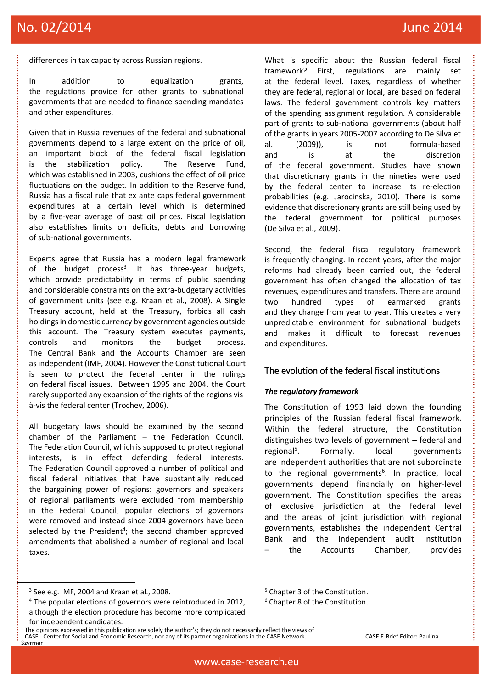# No. 02/2014 June 2014

differences in tax capacity across Russian regions.

In addition to equalization grants, the regulations provide for other grants to subnational governments that are needed to finance spending mandates and other expenditures.

Given that in Russia revenues of the federal and subnational governments depend to a large extent on the price of oil, an important block of the federal fiscal legislation is the stabilization policy. The Reserve Fund, which was established in 2003, cushions the effect of oil price fluctuations on the budget. In addition to the Reserve fund, Russia has a fiscal rule that ex ante caps federal government expenditures at a certain level which is determined by a five-year average of past oil prices. Fiscal legislation also establishes limits on deficits, debts and borrowing of sub-national governments.

Experts agree that Russia has a modern legal framework of the budget process<sup>3</sup>. It has three-year budgets, which provide predictability in terms of public spending and considerable constraints on the extra-budgetary activities of government units (see e.g. Kraan et al., 2008). A Single Treasury account, held at the Treasury, forbids all cash holdings in domestic currency by government agencies outside this account. The Treasury system executes payments, controls and monitors the budget process. The Central Bank and the Accounts Chamber are seen as independent (IMF, 2004). However the Constitutional Court is seen to protect the federal center in the rulings on federal fiscal issues. Between 1995 and 2004, the Court rarely supported any expansion of the rights of the regions visà-vis the federal center (Trochev, 2006).

All budgetary laws should be examined by the second chamber of the Parliament – the Federation Council. The Federation Council, which is supposed to protect regional interests, is in effect defending federal interests. The Federation Council approved a number of political and fiscal federal initiatives that have substantially reduced the bargaining power of regions: governors and speakers of regional parliaments were excluded from membership in the Federal Council; popular elections of governors were removed and instead since 2004 governors have been selected by the President<sup>4</sup>; the second chamber approved amendments that abolished a number of regional and local taxes.

3 See e.g. IMF, 2004 and Kraan et al., 2008.

 $\mathbf{r}$ 

- The opinions expressed in this publication are solely the author's; they do not necessarily reflect the views of
- CASE Center for Social and Economic Research, nor any of its partner organizations in the CASE Network. CASE E-Brief Editor: Paulina Szyrmer

What is specific about the Russian federal fiscal framework? First, regulations are mainly set at the federal level. Taxes, regardless of whether they are federal, regional or local, are based on federal laws. The federal government controls key matters of the spending assignment regulation. A considerable part of grants to sub-national governments (about half of the grants in years 2005-2007 according to De Silva et al. (2009)), is not formula-based and is at the discretion of the federal government. Studies have shown that discretionary grants in the nineties were used by the federal center to increase its re-election probabilities (e.g. Jarocinska, 2010). There is some evidence that discretionary grants are still being used by the federal government for political purposes (De Silva et al., 2009).

Second, the federal fiscal regulatory framework is frequently changing. In recent years, after the major reforms had already been carried out, the federal government has often changed the allocation of tax revenues, expenditures and transfers. There are around two hundred types of earmarked grants and they change from year to year. This creates a very unpredictable environment for subnational budgets and makes it difficult to forecast revenues and expenditures.

### The evolution of the federal fiscal institutions

### *The regulatory framework*

<sup>5</sup> Chapter 3 of the Constitution. <sup>6</sup> Chapter 8 of the Constitution.

The Constitution of 1993 laid down the founding principles of the Russian federal fiscal framework. Within the federal structure, the Constitution distinguishes two levels of government – federal and regional<sup>5</sup>. Formally, local governments are independent authorities that are not subordinate to the regional governments<sup>6</sup>. In practice, local governments depend financially on higher-level government. The Constitution specifies the areas of exclusive jurisdiction at the federal level and the areas of joint jurisdiction with regional governments, establishes the independent Central Bank and the independent audit institution the Accounts Chamber, provides

<sup>&</sup>lt;sup>4</sup> The popular elections of governors were reintroduced in 2012, although the election procedure has become more complicated for independent candidates.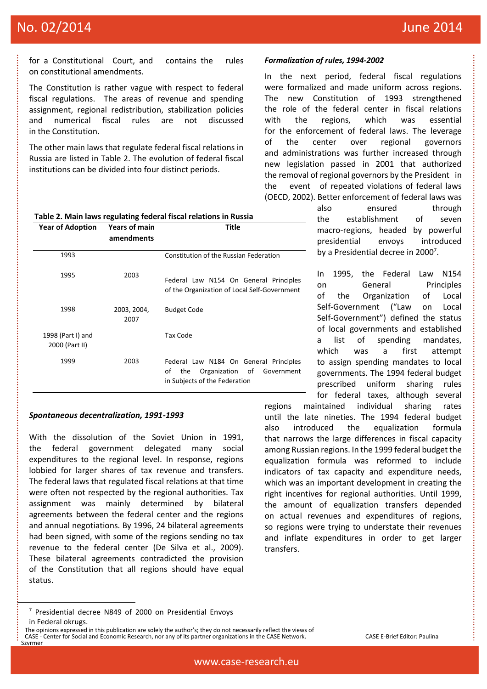## No. 02/2014 **June 2014 June 2014**

for a Constitutional Court, and contains the rules on constitutional amendments.

The Constitution is rather vague with respect to federal fiscal regulations. The areas of revenue and spending assignment, regional redistribution, stabilization policies and numerical fiscal rules are not discussed in the Constitution.

The other main laws that regulate federal fiscal relations in Russia are listed in Table 2. The evolution of federal fiscal institutions can be divided into four distinct periods.

#### **Table 2. Main laws regulating federal fiscal relations in Russia Year of Adoption Years of main amendments Title**

| 1993                                |                     | Constitution of the Russian Federation                                                                                |
|-------------------------------------|---------------------|-----------------------------------------------------------------------------------------------------------------------|
| 1995                                | 2003                | Federal Law N154 On General Principles<br>of the Organization of Local Self-Government                                |
| 1998                                | 2003, 2004,<br>2007 | <b>Budget Code</b>                                                                                                    |
| 1998 (Part I) and<br>2000 (Part II) |                     | Tax Code                                                                                                              |
| 1999                                | 2003                | Federal Law N184 On General Principles<br>Organization of<br>οf<br>the<br>Government<br>in Subjects of the Federation |

### *Spontaneous decentralization, 1991-1993*

With the dissolution of the Soviet Union in 1991, the federal government delegated many social expenditures to the regional level. In response, regions lobbied for larger shares of tax revenue and transfers. The federal laws that regulated fiscal relations at that time were often not respected by the regional authorities. Tax assignment was mainly determined by bilateral agreements between the federal center and the regions and annual negotiations. By 1996, 24 bilateral agreements had been signed, with some of the regions sending no tax revenue to the federal center (De Silva et al., 2009). These bilateral agreements contradicted the provision of the Constitution that all regions should have equal status.

In the next period, federal fiscal regulations were formalized and made uniform across regions. The new Constitution of 1993 strengthened the role of the federal center in fiscal relations with the regions, which was essential for the enforcement of federal laws. The leverage of the center over regional governors and administrations was further increased through new legislation passed in 2001 that authorized the removal of regional governors by the President in the event of repeated violations of federal laws (OECD, 2002). Better enforcement of federal laws was

> also ensured through the establishment of seven macro-regions, headed by powerful presidential envoys introduced by a Presidential decree in 2000<sup>7</sup>.

> In 1995, the Federal Law N154 on General Principles of the Organization of Local Self-Government ("Law on Local Self-Government") defined the status of local governments and established a list of spending mandates, which was a first attempt to assign spending mandates to local governments. The 1994 federal budget prescribed uniform sharing rules for federal taxes, although several

regions maintained individual sharing rates until the late nineties. The 1994 federal budget also introduced the equalization formula that narrows the large differences in fiscal capacity among Russian regions. In the 1999 federal budget the equalization formula was reformed to include indicators of tax capacity and expenditure needs, which was an important development in creating the right incentives for regional authorities. Until 1999, the amount of equalization transfers depended on actual revenues and expenditures of regions, so regions were trying to understate their revenues and inflate expenditures in order to get larger transfers.

Szyrmer

ŀ

*Formalization of rules, 1994-2002*

<sup>7</sup> Presidential decree N849 of 2000 on Presidential Envoys in Federal okrugs.

The opinions expressed in this publication are solely the author's; they do not necessarily reflect the views of CASE - Center for Social and Economic Research, nor any of its partner organizations in the CASE Network. CASE E-Brief Editor: Paulina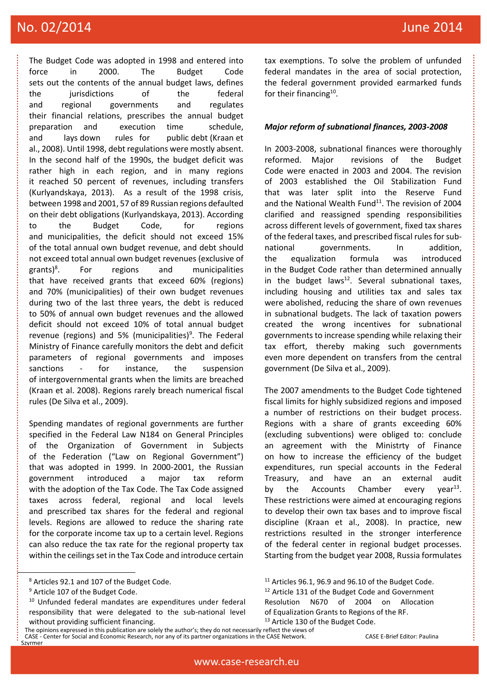# No. 02/2014 **June 2014 June 2014**

The Budget Code was adopted in 1998 and entered into force in 2000. The Budget Code sets out the contents of the annual budget laws, defines the jurisdictions of the federal and regional governments and regulates their financial relations, prescribes the annual budget preparation and execution time schedule, and lays down rules for public debt (Kraan et al., 2008). Until 1998, debt regulations were mostly absent. In the second half of the 1990s, the budget deficit was rather high in each region, and in many regions it reached 50 percent of revenues, including transfers (Kurlyandskaya, 2013). As a result of the 1998 crisis, between 1998 and 2001, 57 of 89 Russian regions defaulted on their debt obligations (Kurlyandskaya, 2013). According to the Budget Code, for regions and municipalities, the deficit should not exceed 15% of the total annual own budget revenue, and debt should not exceed total annual own budget revenues (exclusive of  $grants)^8$ . . For regions and municipalities that have received grants that exceed 60% (regions) and 70% (municipalities) of their own budget revenues during two of the last three years, the debt is reduced to 50% of annual own budget revenues and the allowed deficit should not exceed 10% of total annual budget revenue (regions) and 5% (municipalities)<sup>9</sup>. The Federal Ministry of Finance carefully monitors the debt and deficit parameters of regional governments and imposes sanctions - for instance, the suspension of intergovernmental grants when the limits are breached (Kraan et al. 2008). Regions rarely breach numerical fiscal rules (De Silva et al., 2009).

Spending mandates of regional governments are further specified in the Federal Law N184 on General Principles of the Organization of Government in Subjects of the Federation ("Law on Regional Government") that was adopted in 1999. In 2000-2001, the Russian government introduced a major tax reform with the adoption of the Tax Code. The Tax Code assigned taxes across federal, regional and local levels and prescribed tax shares for the federal and regional levels. Regions are allowed to reduce the sharing rate for the corporate income tax up to a certain level. Regions can also reduce the tax rate for the regional property tax within the ceilings set in the Tax Code and introduce certain

Szyrmer

ļ

The opinions expressed in this publication are solely the author's; they do not necessarily reflect the views of CASE - Center for Social and Economic Research, nor any of its partner organizations in the CASE Network. CASE E-Brief Editor: Paulina

tax exemptions. To solve the problem of unfunded federal mandates in the area of social protection, the federal government provided earmarked funds for their financing<sup>10</sup>.

### *Major reform of subnational finances, 2003-2008*

In 2003-2008, subnational finances were thoroughly reformed. Major revisions of the Budget Code were enacted in 2003 and 2004. The revision of 2003 established the Oil Stabilization Fund that was later split into the Reserve Fund and the National Wealth Fund<sup>11</sup>. The revision of 2004 clarified and reassigned spending responsibilities across different levels of government, fixed tax shares of the federal taxes, and prescribed fiscal rules for subnational governments. In addition, the equalization formula was introduced in the Budget Code rather than determined annually in the budget laws $^{12}$ . Several subnational taxes, including housing and utilities tax and sales tax were abolished, reducing the share of own revenues in subnational budgets. The lack of taxation powers created the wrong incentives for subnational governments to increase spending while relaxing their tax effort, thereby making such governments even more dependent on transfers from the central government (De Silva et al., 2009).

The 2007 amendments to the Budget Code tightened fiscal limits for highly subsidized regions and imposed a number of restrictions on their budget process. Regions with a share of grants exceeding 60% (excluding subventions) were obliged to: conclude an agreement with the Ministrty of Finance on how to increase the efficiency of the budget expenditures, run special accounts in the Federal Treasury, and have an an external audit by the Accounts Chamber every  $vear<sup>13</sup>$ . These restrictions were aimed at encouraging regions to develop their own tax bases and to improve fiscal discipline (Kraan et al., 2008). In practice, new restrictions resulted in the stronger interference of the federal center in regional budget processes. Starting from the budget year 2008, Russia formulates

<sup>8</sup> Articles 92.1 and 107 of the Budget Code.

<sup>&</sup>lt;sup>9</sup> Article 107 of the Budget Code.

<sup>10</sup> Unfunded federal mandates are expenditures under federal responsibility that were delegated to the sub-national level without providing sufficient financing.

 $11$  Articles 96.1, 96.9 and 96.10 of the Budget Code. <sup>12</sup> Article 131 of the Budget Code and Government Resolution N670 of 2004 on Allocation of Equalization Grants to Regions of the RF. <sup>13</sup> Article 130 of the Budget Code.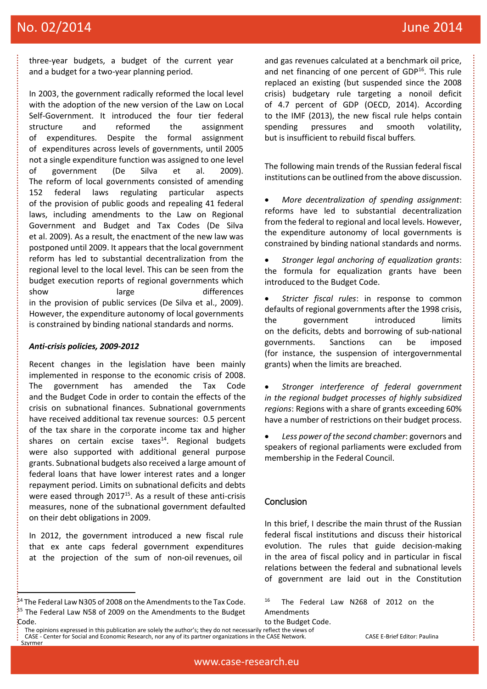# No. 02/2014 June 2014

three-year budgets, a budget of the current year and a budget for a two-year planning period.

In 2003, the government radically reformed the local level with the adoption of the new version of the Law on Local Self-Government. It introduced the four tier federal structure and reformed the assignment of expenditures. Despite the formal assignment of expenditures across levels of governments, until 2005 not a single expenditure function was assigned to one level of government (De Silva et al. 2009). The reform of local governments consisted of amending 152 federal laws regulating particular aspects of the provision of public goods and repealing 41 federal laws, including amendments to the Law on Regional Government and Budget and Tax Codes (De Silva et al. 2009). As a result, the enactment of the new law was postponed until 2009. It appears that the local government reform has led to substantial decentralization from the regional level to the local level. This can be seen from the budget execution reports of regional governments which show large differences in the provision of public services (De Silva et al., 2009). However, the expenditure autonomy of local governments is constrained by binding national standards and norms.

### *Anti-crisis policies, 2009-2012*

Recent changes in the legislation have been mainly implemented in response to the economic crisis of 2008. The government has amended the Tax Code and the Budget Code in order to contain the effects of the crisis on subnational finances. Subnational governments have received additional tax revenue sources: 0.5 percent of the tax share in the corporate income tax and higher shares on certain excise taxes $14$ . Regional budgets were also supported with additional general purpose grants. Subnational budgets also received a large amount of federal loans that have lower interest rates and a longer repayment period. Limits on subnational deficits and debts were eased through 2017<sup>15</sup>. As a result of these anti-crisis measures, none of the subnational government defaulted on their debt obligations in 2009.

In 2012, the government introduced a new fiscal rule that ex ante caps federal government expenditures at the projection of the sum of non-oil revenues, oil

Szyrmer

ļ

and gas revenues calculated at a benchmark oil price, and net financing of one percent of GDP<sup>16</sup>. This rule replaced an existing (but suspended since the 2008 crisis) budgetary rule targeting a nonoil deficit of 4.7 percent of GDP (OECD, 2014). According to the IMF (2013), the new fiscal rule helps contain spending pressures and smooth volatility, but is insufficient to rebuild fiscal buffers*.*

The following main trends of the Russian federal fiscal institutions can be outlined from the above discussion.

 *More decentralization of spending assignment*: reforms have led to substantial decentralization from the federal to regional and local levels. However, the expenditure autonomy of local governments is constrained by binding national standards and norms.

 *Stronger legal anchoring of equalization grants*: the formula for equalization grants have been introduced to the Budget Code.

 *Stricter fiscal rules*: in response to common defaults of regional governments after the 1998 crisis, the government introduced limits on the deficits, debts and borrowing of sub-national governments. Sanctions can be imposed (for instance, the suspension of intergovernmental grants) when the limits are breached.

 *Stronger interference of federal government in the regional budget processes of highly subsidized regions*: Regions with a share of grants exceeding 60% have a number of restrictions on their budget process.

 *Less power of the second chamber*: governors and speakers of regional parliaments were excluded from membership in the Federal Council.

### Conclusion

In this brief, I describe the main thrust of the Russian federal fiscal institutions and discuss their historical evolution. The rules that guide decision-making in the area of fiscal policy and in particular in fiscal relations between the federal and subnational levels of government are laid out in the Constitution

<sup>&</sup>lt;sup>44</sup> The Federal Law N305 of 2008 on the Amendments to the Tax Code. <sup>15</sup> The Federal Law N58 of 2009 on the Amendments to the Budget Code.

The opinions expressed in this publication are solely the author's; they do not necessarily reflect the views of CASE - Center for Social and Economic Research, nor any of its partner organizations in the CASE Network. CASE E-Brief Editor: Paulina

<sup>16</sup> The Federal Law N268 of 2012 on the Amendments

to the Budget Code.